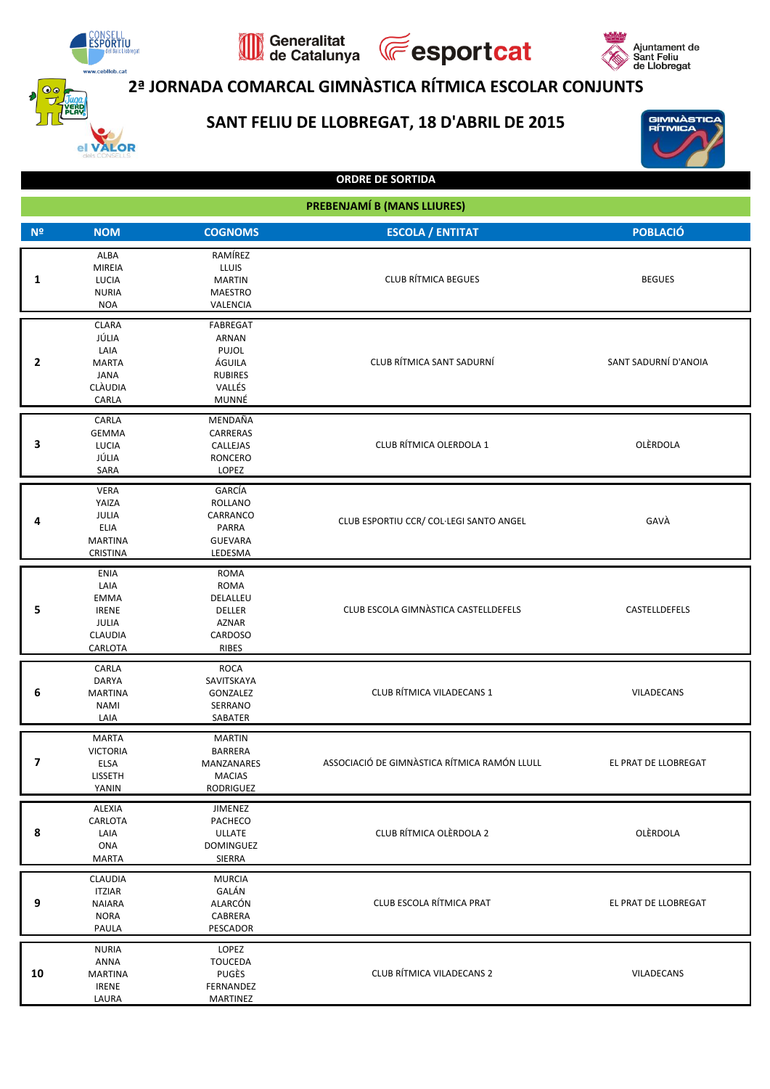

## **2ª JORNADA COMARCAL GIMNÀSTICA RÍTMICA ESCOLAR CONJUNTS**

**Fesportcat** 

Generalitat<br>de Catalunya

## **SANT FELIU DE LLOBREGAT, 18 D'ABRIL DE 2015**



GIMNÀSTIC<br>RÍTMICA

| <b>PREBENJAMÍ B (MANS LLIURES)</b> |                                                                           |                                                                                  |                                              |                      |  |  |
|------------------------------------|---------------------------------------------------------------------------|----------------------------------------------------------------------------------|----------------------------------------------|----------------------|--|--|
| N <sup>2</sup>                     | <b>NOM</b>                                                                | <b>COGNOMS</b>                                                                   | <b>ESCOLA / ENTITAT</b>                      | <b>POBLACIÓ</b>      |  |  |
| 1                                  | ALBA<br><b>MIREIA</b><br>LUCIA<br><b>NURIA</b><br><b>NOA</b>              | RAMÍREZ<br><b>LLUIS</b><br><b>MARTIN</b><br><b>MAESTRO</b><br>VALENCIA           | <b>CLUB RÍTMICA BEGUES</b>                   | <b>BEGUES</b>        |  |  |
| 2                                  | <b>CLARA</b><br>JÚLIA<br>LAIA<br><b>MARTA</b><br>JANA<br>CLÀUDIA<br>CARLA | FABREGAT<br><b>ARNAN</b><br>PUJOL<br>ÁGUILA<br><b>RUBIRES</b><br>VALLÉS<br>MUNNÉ | CLUB RÍTMICA SANT SADURNÍ                    | SANT SADURNÍ D'ANOIA |  |  |
| 3                                  | CARLA<br><b>GEMMA</b><br>LUCIA<br>JÚLIA<br>SARA                           | MENDAÑA<br>CARRERAS<br>CALLEJAS<br><b>RONCERO</b><br>LOPEZ                       | CLUB RÍTMICA OLERDOLA 1                      | OLÈRDOLA             |  |  |
| 4                                  | <b>VERA</b><br>YAIZA<br>JULIA<br>ELIA<br><b>MARTINA</b><br>CRISTINA       | GARCÍA<br><b>ROLLANO</b><br>CARRANCO<br>PARRA<br><b>GUEVARA</b><br>LEDESMA       | CLUB ESPORTIU CCR/ COL·LEGI SANTO ANGEL      | GAVÀ                 |  |  |
| 5                                  | ENIA<br>LAIA<br>EMMA<br><b>IRENE</b><br>JULIA<br>CLAUDIA<br>CARLOTA       | ROMA<br>ROMA<br>DELALLEU<br>DELLER<br><b>AZNAR</b><br>CARDOSO<br>RIBES           | CLUB ESCOLA GIMNÀSTICA CASTELLDEFELS         | CASTELLDEFELS        |  |  |
| 6                                  | CARLA<br>DARYA<br><b>MARTINA</b><br><b>NAMI</b><br>LAIA                   | <b>ROCA</b><br>SAVITSKAYA<br>GONZALEZ<br>SERRANO<br>SABATER                      | CLUB RÍTMICA VILADECANS 1                    | VILADECANS           |  |  |
| $\overline{\mathbf{z}}$            | <b>MARTA</b><br><b>VICTORIA</b><br>ELSA<br>LISSETH<br>YANIN               | <b>MARTIN</b><br><b>BARRERA</b><br>MANZANARES<br><b>MACIAS</b><br>RODRIGUEZ      | ASSOCIACIÓ DE GIMNÀSTICA RÍTMICA RAMÓN LLULL | EL PRAT DE LLOBREGAT |  |  |
| 8                                  | ALEXIA<br>CARLOTA<br>LAIA<br>ONA<br><b>MARTA</b>                          | JIMENEZ<br>PACHECO<br><b>ULLATE</b><br><b>DOMINGUEZ</b><br>SIERRA                | CLUB RÍTMICA OLÈRDOLA 2                      | OLÈRDOLA             |  |  |
| 9                                  | <b>CLAUDIA</b><br><b>ITZIAR</b><br><b>NAIARA</b><br><b>NORA</b><br>PAULA  | <b>MURCIA</b><br>GALÁN<br>ALARCÓN<br>CABRERA<br>PESCADOR                         | CLUB ESCOLA RÍTMICA PRAT                     | EL PRAT DE LLOBREGAT |  |  |
| 10                                 | <b>NURIA</b><br>ANNA<br><b>MARTINA</b><br><b>IRENE</b><br>LAURA           | LOPEZ<br><b>TOUCEDA</b><br>PUGÈS<br>FERNANDEZ<br>MARTINEZ                        | CLUB RÍTMICA VILADECANS 2                    | VILADECANS           |  |  |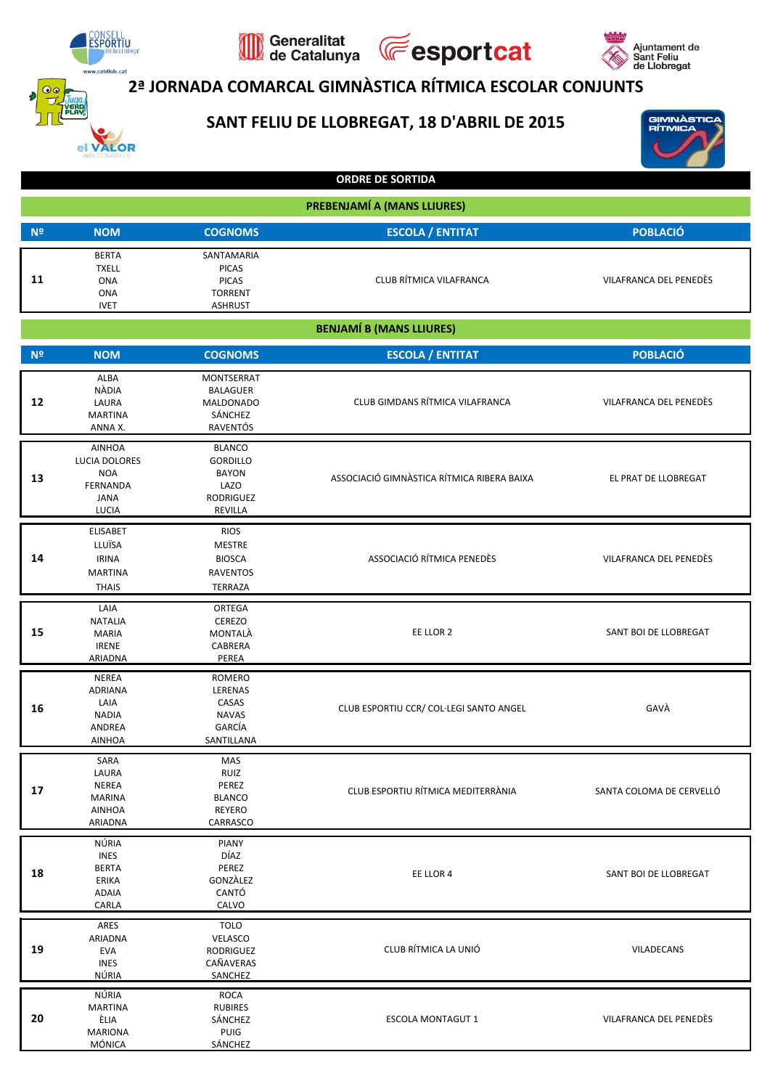

**VALOR** 

## Generalitat<br>de Catalunya **Fesportcat** 2ª JORNADA COMARCAL GIMNÀSTICA RÍTMICA ESCOLAR CONJUNTS





Ajuntament de<br>Sant Feliu<br>de Llobregat

|                | <b>ORDRE DE SORTIDA</b>                                                                        |                                                                                  |                                            |                          |  |  |  |
|----------------|------------------------------------------------------------------------------------------------|----------------------------------------------------------------------------------|--------------------------------------------|--------------------------|--|--|--|
|                |                                                                                                |                                                                                  | PREBENJAMÍ A (MANS LLIURES)                |                          |  |  |  |
| N <sup>2</sup> | <b>NOM</b>                                                                                     | <b>COGNOMS</b>                                                                   | <b>ESCOLA / ENTITAT</b>                    | <b>POBLACIÓ</b>          |  |  |  |
| 11             | <b>BERTA</b><br><b>TXELL</b><br>ONA<br><b>ONA</b><br><b>IVET</b>                               | SANTAMARIA<br><b>PICAS</b><br><b>PICAS</b><br><b>TORRENT</b><br><b>ASHRUST</b>   | CLUB RÍTMICA VILAFRANCA                    | VILAFRANCA DEL PENEDÈS   |  |  |  |
|                |                                                                                                |                                                                                  | <b>BENJAMÍ B (MANS LLIURES)</b>            |                          |  |  |  |
| N <sup>2</sup> | <b>NOM</b>                                                                                     | <b>COGNOMS</b>                                                                   | <b>ESCOLA / ENTITAT</b>                    | <b>POBLACIÓ</b>          |  |  |  |
| 12             | ALBA<br>NÀDIA<br>LAURA<br><b>MARTINA</b><br>ANNA X.                                            | MONTSERRAT<br>BALAGUER<br><b>MALDONADO</b><br>SÁNCHEZ<br>RAVENTÓS                | CLUB GIMDANS RÍTMICA VILAFRANCA            | VILAFRANCA DEL PENEDÈS   |  |  |  |
| 13             | <b>AINHOA</b><br>LUCIA DOLORES<br><b>NOA</b><br><b>FERNANDA</b><br><b>JANA</b><br><b>LUCIA</b> | <b>BLANCO</b><br><b>GORDILLO</b><br><b>BAYON</b><br>LAZO<br>RODRIGUEZ<br>REVILLA | ASSOCIACIÓ GIMNÀSTICA RÍTMICA RIBERA BAIXA | EL PRAT DE LLOBREGAT     |  |  |  |
| 14             | <b>ELISABET</b><br>LLUÏSA<br><b>IRINA</b><br><b>MARTINA</b><br><b>THAIS</b>                    | <b>RIOS</b><br>MESTRE<br><b>BIOSCA</b><br>RAVENTOS<br>TERRAZA                    | ASSOCIACIÓ RÍTMICA PENEDÈS                 | VILAFRANCA DEL PENEDÈS   |  |  |  |
| 15             | LAIA<br><b>NATALIA</b><br>MARIA<br><b>IRENE</b><br>ARIADNA                                     | ORTEGA<br><b>CEREZO</b><br>MONTALA<br>CABRERA<br>PEREA                           | EE LLOR 2                                  | SANT BOI DE LLOBREGAT    |  |  |  |
| 16             | <b>NEREA</b><br><b>ADRIANA</b><br>LAIA<br><b>NADIA</b><br>ANDREA<br><b>AINHOA</b>              | <b>ROMERO</b><br>LERENAS<br>CASAS<br><b>NAVAS</b><br>GARCÍA<br><b>SANTILLANA</b> | CLUB ESPORTIU CCR/ COL·LEGI SANTO ANGEL    | GAVÀ                     |  |  |  |
| ${\bf 17}$     | SARA<br>LAURA<br>NEREA<br><b>MARINA</b><br><b>AINHOA</b><br>ARIADNA                            | MAS<br>RUIZ<br>PEREZ<br><b>BLANCO</b><br>REYERO<br>CARRASCO                      | CLUB ESPORTIU RÍTMICA MEDITERRÀNIA         | SANTA COLOMA DE CERVELLÓ |  |  |  |
| 18             | NÚRIA<br><b>INES</b><br><b>BERTA</b><br>ERIKA<br><b>ADAIA</b><br>CARLA                         | <b>PIANY</b><br>DÍAZ<br>PEREZ<br>GONZALEZ<br>CANTÓ<br>CALVO                      | EE LLOR 4                                  | SANT BOI DE LLOBREGAT    |  |  |  |
| 19             | ARES<br>ARIADNA<br><b>EVA</b><br><b>INES</b><br>NÚRIA                                          | <b>TOLO</b><br>VELASCO<br><b>RODRIGUEZ</b><br>CAÑAVERAS<br>SANCHEZ               | CLUB RÍTMICA LA UNIÓ                       | VILADECANS               |  |  |  |
| 20             | NÚRIA<br><b>MARTINA</b><br>ÈLIA<br><b>MARIONA</b><br>MÓNICA                                    | ROCA<br><b>RUBIRES</b><br>SÁNCHEZ<br>PUIG<br>SÁNCHEZ                             | <b>ESCOLA MONTAGUT 1</b>                   | VILAFRANCA DEL PENEDÈS   |  |  |  |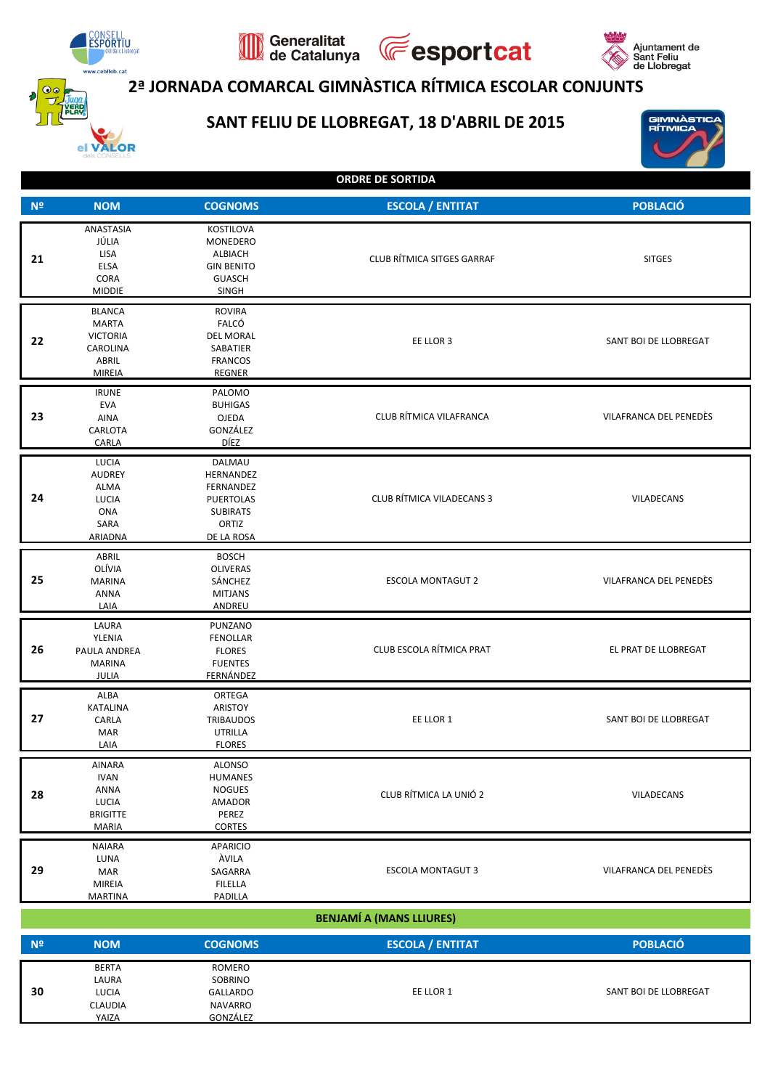

30

LUCIA CLAUDIA

YAIZA

GALLARDO

**NAVARRO** 

GONZÁLEZ

VALOR

## 2ª JORNADA COMARCAL GIMNÀSTICA RÍTMICA ESCOLAR CONJUNTS

**Fesportcat** 

## SANT FELIU DE LLOBREGAT, 18 D'ABRIL DE 2015

Generalitat<br>de Catalunya



SANT BOI DE LLOBREGAT

GIMNÀSTIO<br>RÍTMICA

| <b>ORDRE DE SORTIDA</b> |  |
|-------------------------|--|

| N <sup>2</sup> | <b>NOM</b>                                                                              | <b>COGNOMS</b>                                                                                 | <b>ESCOLA / ENTITAT</b>           | <b>POBLACIÓ</b>        |
|----------------|-----------------------------------------------------------------------------------------|------------------------------------------------------------------------------------------------|-----------------------------------|------------------------|
| 21             | ANASTASIA<br>JÚLIA<br>LISA<br>ELSA<br>CORA<br><b>MIDDIE</b>                             | KOSTILOVA<br>MONEDERO<br>ALBIACH<br><b>GIN BENITO</b><br><b>GUASCH</b><br>SINGH                | <b>CLUB RÍTMICA SITGES GARRAF</b> | <b>SITGES</b>          |
| 22             | <b>BLANCA</b><br><b>MARTA</b><br><b>VICTORIA</b><br>CAROLINA<br>ABRIL<br><b>MIREIA</b>  | <b>ROVIRA</b><br>FALCÓ<br><b>DEL MORAL</b><br>SABATIER<br><b>FRANCOS</b><br>REGNER             | EE LLOR 3                         | SANT BOI DE LLOBREGAT  |
| 23             | <b>IRUNE</b><br><b>EVA</b><br><b>AINA</b><br>CARLOTA<br>CARLA                           | PALOMO<br><b>BUHIGAS</b><br>OJEDA<br>GONZÁLEZ<br>DÍEZ                                          | CLUB RÍTMICA VILAFRANCA           | VILAFRANCA DEL PENEDÈS |
| 24             | LUCIA<br><b>AUDREY</b><br>ALMA<br>LUCIA<br>ONA<br>SARA<br>ARIADNA                       | DALMAU<br>HERNANDEZ<br>FERNANDEZ<br><b>PUERTOLAS</b><br><b>SUBIRATS</b><br>ORTIZ<br>DE LA ROSA | <b>CLUB RÍTMICA VILADECANS 3</b>  | VILADECANS             |
| 25             | ABRIL<br>OLÍVIA<br><b>MARINA</b><br><b>ANNA</b><br>LAIA                                 | <b>BOSCH</b><br><b>OLIVERAS</b><br>SÁNCHEZ<br><b>MITJANS</b><br>ANDREU                         | <b>ESCOLA MONTAGUT 2</b>          | VILAFRANCA DEL PENEDÈS |
| 26             | LAURA<br>YLENIA<br>PAULA ANDREA<br><b>MARINA</b><br>JULIA                               | PUNZANO<br><b>FENOLLAR</b><br><b>FLORES</b><br><b>FUENTES</b><br>FERNÁNDEZ                     | CLUB ESCOLA RÍTMICA PRAT          | EL PRAT DE LLOBREGAT   |
| 27             | ALBA<br><b>KATALINA</b><br>CARLA<br><b>MAR</b><br>LAIA                                  | ORTEGA<br>ARISTOY<br><b>TRIBAUDOS</b><br>UTRILLA<br><b>FLORES</b>                              | EE LLOR 1                         | SANT BOI DE LLOBREGAT  |
| 28             | <b>AINARA</b><br><b>IVAN</b><br><b>ANNA</b><br>LUCIA<br><b>BRIGITTE</b><br><b>MARIA</b> | <b>ALONSO</b><br>HUMANES<br><b>NOGUES</b><br><b>AMADOR</b><br>PEREZ<br><b>CORTES</b>           | CLUB RÍTMICA LA UNIÓ 2            | VILADECANS             |
| 29             | <b>NAIARA</b><br>LUNA<br>MAR<br><b>MIREIA</b><br><b>MARTINA</b>                         | <b>APARICIO</b><br>ÀVILA<br>SAGARRA<br><b>FILELLA</b><br>PADILLA                               | <b>ESCOLA MONTAGUT 3</b>          | VILAFRANCA DEL PENEDÈS |
|                |                                                                                         |                                                                                                | <b>BENJAMÍ A (MANS LLIURES)</b>   |                        |
| N <sup>2</sup> | <b>NOM</b>                                                                              | <b>COGNOMS</b>                                                                                 | <b>ESCOLA / ENTITAT</b>           | <b>POBLACIÓ</b>        |
|                | <b>BERTA</b><br>LAURA                                                                   | <b>ROMERO</b><br>SOBRINO                                                                       |                                   |                        |

EE LLOR 1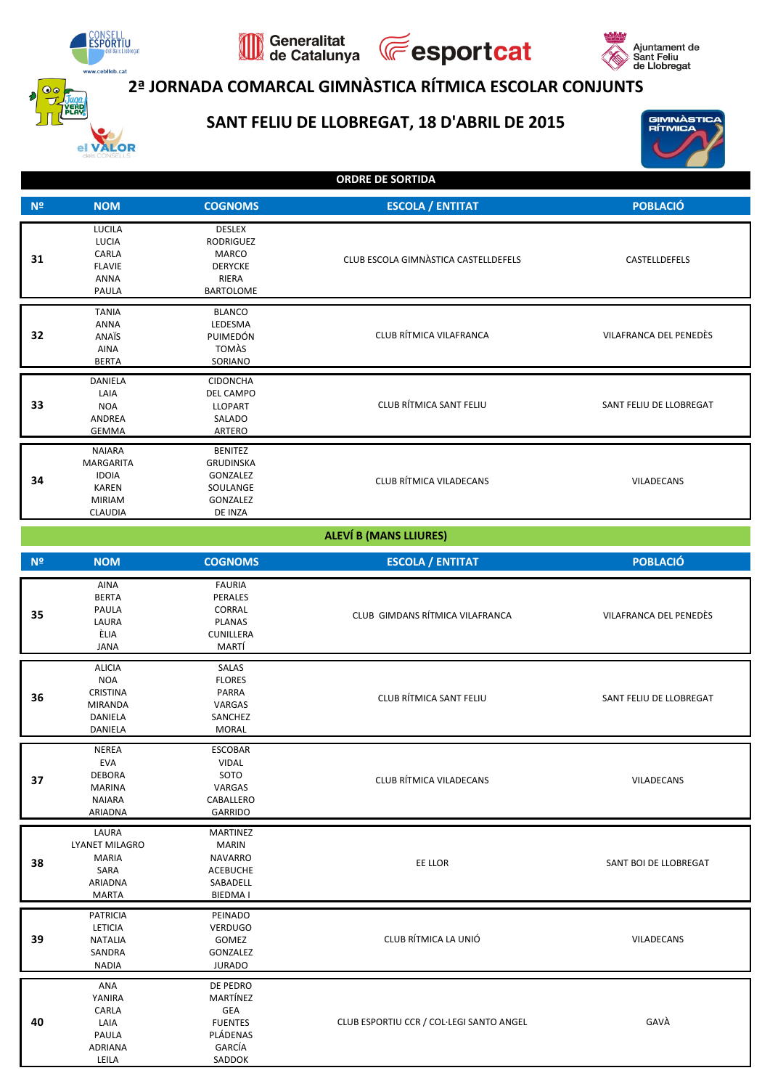

VALOR

## 2ª JORNADA COMARCAL GIMNÀSTICA RÍTMICA ESCOLAR CONJUNTS

**E**esportcat

## SANT FELIU DE LLOBREGAT, 18 D'ABRIL DE 2015

Generalitat<br>de Catalunya





**ORDRE DE SORTIDA** 

| N <sup>2</sup> | <b>NOM</b>                                                                                    | <b>COGNOMS</b>                                                                            | <b>ESCOLA / ENTITAT</b>              | <b>POBLACIÓ</b>         |
|----------------|-----------------------------------------------------------------------------------------------|-------------------------------------------------------------------------------------------|--------------------------------------|-------------------------|
| 31             | LUCILA<br><b>LUCIA</b><br>CARLA<br><b>FLAVIE</b><br><b>ANNA</b><br>PAULA                      | <b>DESLEX</b><br>RODRIGUEZ<br>MARCO<br><b>DERYCKE</b><br><b>RIERA</b><br><b>BARTOLOME</b> | CLUB ESCOLA GIMNÀSTICA CASTELLDEFELS | CASTELLDEFELS           |
| 32             | <b>TANIA</b><br><b>ANNA</b><br>ANAÏS<br>AINA<br><b>BERTA</b>                                  | <b>BLANCO</b><br>LEDESMA<br>PUIMEDÓN<br>TOMÀS<br>SORIANO                                  | CLUB RÍTMICA VILAFRANCA              | VILAFRANCA DEL PENEDÈS  |
| 33             | DANIELA<br>LAIA<br><b>NOA</b><br>ANDREA<br><b>GEMMA</b>                                       | <b>CIDONCHA</b><br><b>DEL CAMPO</b><br><b>LLOPART</b><br>SALADO<br>ARTERO                 | CLUB RÍTMICA SANT FELIU              | SANT FELIU DE LLOBREGAT |
| 34             | <b>NAIARA</b><br><b>MARGARITA</b><br><b>IDOIA</b><br>KAREN<br><b>MIRIAM</b><br><b>CLAUDIA</b> | <b>BENITEZ</b><br><b>GRUDINSKA</b><br>GONZALEZ<br>SOULANGE<br><b>GONZALEZ</b><br>DE INZA  | <b>CLUB RÍTMICA VILADECANS</b>       | VILADECANS              |

#### **ALEVÍ B (MANS LLIURES)**

| N <sup>o</sup> | <b>NOM</b>                                                                               | <b>COGNOMS</b>                                                                               | <b>ESCOLA / ENTITAT</b>                  | <b>POBLACIÓ</b>         |  |
|----------------|------------------------------------------------------------------------------------------|----------------------------------------------------------------------------------------------|------------------------------------------|-------------------------|--|
| 35             | AINA<br><b>BERTA</b><br>PAULA<br>LAURA<br>ÈLIA<br><b>JANA</b>                            | <b>FAURIA</b><br>PERALES<br>CORRAL<br><b>PLANAS</b><br>CUNILLERA<br>MARTÍ                    | CLUB GIMDANS RÍTMICA VILAFRANCA          | VILAFRANCA DEL PENEDÈS  |  |
| 36             | <b>ALICIA</b><br><b>NOA</b><br><b>CRISTINA</b><br><b>MIRANDA</b><br>DANIELA<br>DANIELA   | SALAS<br><b>FLORES</b><br>PARRA<br>VARGAS<br>SANCHEZ<br><b>MORAL</b>                         | CLUB RÍTMICA SANT FELIU                  | SANT FELIU DE LLOBREGAT |  |
| 37             | <b>NEREA</b><br><b>EVA</b><br><b>DEBORA</b><br><b>MARINA</b><br><b>NAIARA</b><br>ARIADNA | <b>ESCOBAR</b><br><b>VIDAL</b><br>SOTO<br>VARGAS<br>CABALLERO<br>GARRIDO                     | CLUB RÍTMICA VILADECANS                  | VILADECANS              |  |
| 38             | LAURA<br><b>LYANET MILAGRO</b><br>MARIA<br>SARA<br>ARIADNA<br><b>MARTA</b>               | <b>MARTINEZ</b><br><b>MARIN</b><br><b>NAVARRO</b><br><b>ACEBUCHE</b><br>SABADELL<br>BIEDMA I | EE LLOR                                  | SANT BOI DE LLOBREGAT   |  |
| 39             | <b>PATRICIA</b><br>LETICIA<br><b>NATALIA</b><br>SANDRA<br><b>NADIA</b>                   | PEINADO<br><b>VERDUGO</b><br>GOMEZ<br>GONZALEZ<br><b>JURADO</b>                              | CLUB RÍTMICA LA UNIÓ                     | VILADECANS              |  |
| 40             | ANA<br>YANIRA<br>CARLA<br>LAIA<br>PAULA<br><b>ADRIANA</b><br>LEILA                       | DE PEDRO<br>MARTÍNEZ<br><b>GEA</b><br><b>FUENTES</b><br>PLÁDENAS<br>GARCÍA<br>SADDOK         | CLUB ESPORTIU CCR / COL·LEGI SANTO ANGEL | GAVÀ                    |  |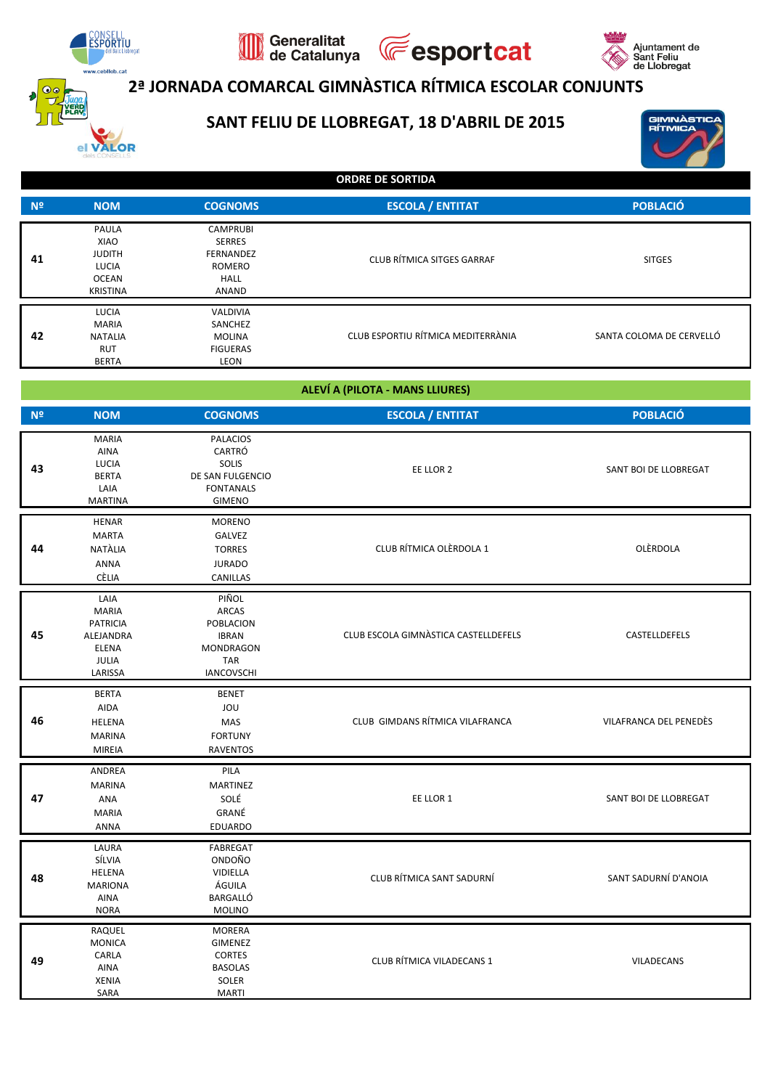

VALOR

## **2ª JORNADA COMARCAL GIMNÀSTICA RÍTMICA ESCOLAR CONJUNTS**

**Fesportcat** 

## **SANT FELIU DE LLOBREGAT, 18 D'ABRIL DE 2015**

Generalitat<br>de Catalunya



Ajuntament de<br>Sant Feliu<br>de Llobregat

**ORDRE DE SORTIDA**

| N <sup>2</sup> | <b>NOM</b>                                                          | <b>COGNOMS</b>                                                                  | <b>ESCOLA / ENTITAT</b>            | <b>POBLACIÓ</b>          |
|----------------|---------------------------------------------------------------------|---------------------------------------------------------------------------------|------------------------------------|--------------------------|
| 41             | PAULA<br>XIAO<br><b>JUDITH</b><br>LUCIA<br>OCEAN<br><b>KRISTINA</b> | <b>CAMPRUBI</b><br><b>SERRES</b><br><b>FERNANDEZ</b><br>ROMERO<br>HALL<br>ANAND | CLUB RÍTMICA SITGES GARRAF         | <b>SITGES</b>            |
| 42             | LUCIA<br><b>MARIA</b><br><b>NATALIA</b><br>RUT<br><b>BERTA</b>      | <b>VALDIVIA</b><br>SANCHEZ<br><b>MOLINA</b><br><b>FIGUERAS</b><br>LEON          | CLUB ESPORTIU RÍTMICA MEDITERRÀNIA | SANTA COLOMA DE CERVELLÓ |

#### **ALEVÍ A (PILOTA - MANS LLIURES)**

| N <sup>o</sup> | <b>NOM</b>                                                                                      | <b>COGNOMS</b>                                                                                            | <b>ESCOLA / ENTITAT</b>              |                        |  |  |
|----------------|-------------------------------------------------------------------------------------------------|-----------------------------------------------------------------------------------------------------------|--------------------------------------|------------------------|--|--|
| 43             | <b>MARIA</b><br>AINA<br>LUCIA<br><b>BERTA</b><br>LAIA<br><b>MARTINA</b>                         | <b>PALACIOS</b><br>CARTRÓ<br>SOLIS<br>DE SAN FULGENCIO<br><b>FONTANALS</b><br><b>GIMENO</b>               | EE LLOR 2                            | SANT BOI DE LLOBREGAT  |  |  |
| 44             | HENAR<br><b>MARTA</b><br>NATALIA<br>ANNA<br>CÈLIA                                               | <b>MORENO</b><br>GALVEZ<br><b>TORRES</b><br><b>JURADO</b><br>CANILLAS                                     | CLUB RÍTMICA OLÈRDOLA 1              | OLÈRDOLA               |  |  |
| 45             | LAIA<br><b>MARIA</b><br><b>PATRICIA</b><br>ALEJANDRA<br><b>ELENA</b><br><b>JULIA</b><br>LARISSA | PIÑOL<br><b>ARCAS</b><br>POBLACION<br><b>IBRAN</b><br><b>MONDRAGON</b><br><b>TAR</b><br><b>IANCOVSCHI</b> | CLUB ESCOLA GIMNASTICA CASTELLDEFELS | CASTELLDEFELS          |  |  |
| 46             | <b>BERTA</b><br>AIDA<br>HELENA<br><b>MARINA</b><br><b>MIREIA</b>                                | <b>BENET</b><br>JOU<br>MAS<br><b>FORTUNY</b><br><b>RAVENTOS</b>                                           | CLUB GIMDANS RÍTMICA VILAFRANCA      | VILAFRANCA DEL PENEDÈS |  |  |
| 47             | ANDREA<br><b>MARINA</b><br>ANA<br><b>MARIA</b><br>ANNA                                          | PILA<br><b>MARTINEZ</b><br>SOLÉ<br>GRANÉ<br>EDUARDO                                                       | EE LLOR 1                            | SANT BOI DE LLOBREGAT  |  |  |
| 48             | LAURA<br>SÍLVIA<br>HELENA<br><b>MARIONA</b><br><b>AINA</b><br><b>NORA</b>                       | FABREGAT<br>ONDOÑO<br>VIDIELLA<br>ÁGUILA<br>BARGALLÓ<br><b>MOLINO</b>                                     | CLUB RÍTMICA SANT SADURNÍ            | SANT SADURNÍ D'ANOIA   |  |  |
| 49             | RAQUEL<br><b>MONICA</b><br>CARLA<br>AINA<br><b>XENIA</b><br>SARA                                | <b>MORERA</b><br>GIMENEZ<br><b>CORTES</b><br><b>BASOLAS</b><br>SOLER<br><b>MARTI</b>                      | CLUB RÍTMICA VILADECANS 1            | VILADECANS             |  |  |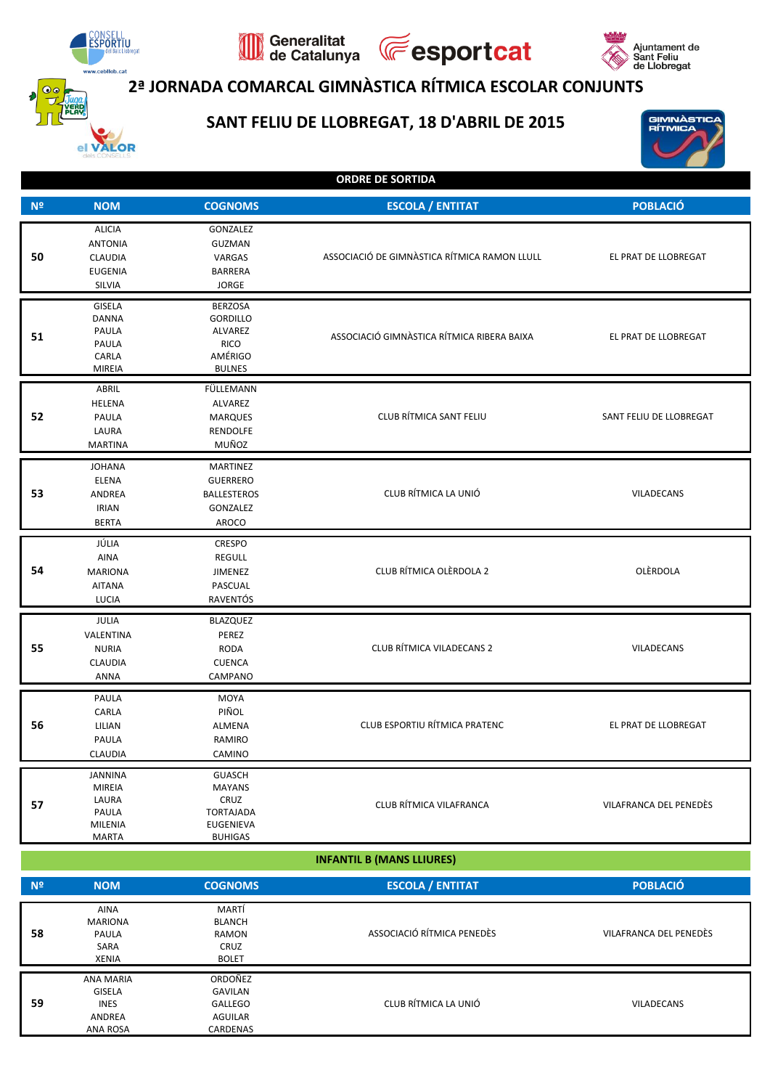

## **2ª JORNADA COMARCAL GIMNÀSTICA RÍTMICA ESCOLAR CONJUNTS**

**Fesportcat** 

### **SANT FELIU DE LLOBREGAT, 18 D'ABRIL DE 2015**

Generalitat<br>de Catalunya

 $\mathbb{Q}$ 



GIMNÀSTIC<br>RÍTMICA

|  |  |  | <b>ORDRE DE SORTIDA</b> |  |  |  |
|--|--|--|-------------------------|--|--|--|
|  |  |  |                         |  |  |  |

| N <sup>2</sup> | <b>NOM</b>                                                                          | <b>COGNOMS</b>                                                                            | <b>ESCOLA / ENTITAT</b>                      | <b>POBLACIÓ</b>         |
|----------------|-------------------------------------------------------------------------------------|-------------------------------------------------------------------------------------------|----------------------------------------------|-------------------------|
| 50             | <b>ALICIA</b><br><b>ANTONIA</b><br><b>CLAUDIA</b><br><b>EUGENIA</b><br>SILVIA       | GONZALEZ<br>GUZMAN<br>VARGAS<br><b>BARRERA</b><br><b>JORGE</b>                            | ASSOCIACIÓ DE GIMNÀSTICA RÍTMICA RAMON LLULL | EL PRAT DE LLOBREGAT    |
| 51             | <b>GISELA</b><br><b>DANNA</b><br>PAULA<br>PAULA<br>CARLA<br><b>MIREIA</b>           | <b>BERZOSA</b><br><b>GORDILLO</b><br>ALVAREZ<br><b>RICO</b><br>AMÉRIGO<br><b>BULNES</b>   | ASSOCIACIÓ GIMNÀSTICA RÍTMICA RIBERA BAIXA   | EL PRAT DE LLOBREGAT    |
| 52             | ABRIL<br><b>HELENA</b><br>PAULA<br>LAURA<br><b>MARTINA</b>                          | FÜLLEMANN<br>ALVAREZ<br><b>MARQUES</b><br><b>RENDOLFE</b><br>MUÑOZ                        | CLUB RÍTMICA SANT FELIU                      | SANT FELIU DE LLOBREGAT |
| 53             | <b>JOHANA</b><br>ELENA<br>ANDREA<br><b>IRIAN</b><br><b>BERTA</b>                    | <b>MARTINEZ</b><br><b>GUERRERO</b><br><b>BALLESTEROS</b><br>GONZALEZ<br>AROCO             | CLUB RÍTMICA LA UNIÓ                         | VILADECANS              |
| 54             | JÚLIA<br><b>AINA</b><br><b>MARIONA</b><br><b>AITANA</b><br>LUCIA                    | <b>CRESPO</b><br><b>REGULL</b><br>JIMENEZ<br>PASCUAL<br>RAVENTÓS                          | CLUB RÍTMICA OLÈRDOLA 2                      | OLERDOLA                |
| 55             | JULIA<br>VALENTINA<br><b>NURIA</b><br><b>CLAUDIA</b><br><b>ANNA</b>                 | BLAZQUEZ<br>PEREZ<br>RODA<br><b>CUENCA</b><br>CAMPANO                                     | CLUB RÍTMICA VILADECANS 2                    | VILADECANS              |
| 56             | PAULA<br>CARLA<br>LILIAN<br>PAULA<br>CLAUDIA                                        | MOYA<br>PIÑOL<br>ALMENA<br>RAMIRO<br>CAMINO                                               | CLUB ESPORTIU RÍTMICA PRATENC                | EL PRAT DE LLOBREGAT    |
| 57             | <b>JANNINA</b><br><b>MIREIA</b><br>LAURA<br>PAULA<br><b>MILENIA</b><br><b>MARTA</b> | <b>GUASCH</b><br><b>MAYANS</b><br>CRUZ<br>TORTAJADA<br><b>EUGENIEVA</b><br><b>BUHIGAS</b> | CLUB RÍTMICA VILAFRANCA                      | VILAFRANCA DEL PENEDÈS  |

| <b>INFANTIL B (MANS LLIURES)</b> |  |
|----------------------------------|--|
|                                  |  |

| N <sup>2</sup> | <b>NOM</b>                                                      | <b>COGNOMS</b>                                                 | <b>ESCOLA / ENTITAT</b>    | <b>POBLACIÓ</b>        |
|----------------|-----------------------------------------------------------------|----------------------------------------------------------------|----------------------------|------------------------|
| 58             | <b>AINA</b><br><b>MARIONA</b><br>PAULA<br>SARA<br><b>XENIA</b>  | MARTÍ<br><b>BLANCH</b><br>RAMON<br><b>CRUZ</b><br><b>BOLET</b> | ASSOCIACIÓ RÍTMICA PENEDÈS | VILAFRANCA DEL PENEDÈS |
| 59             | ANA MARIA<br><b>GISELA</b><br><b>INES</b><br>ANDREA<br>ANA ROSA | ORDOÑEZ<br>GAVILAN<br>GALLEGO<br>AGUILAR<br>CARDENAS           | CLUB RÍTMICA LA UNIÓ       | VILADECANS             |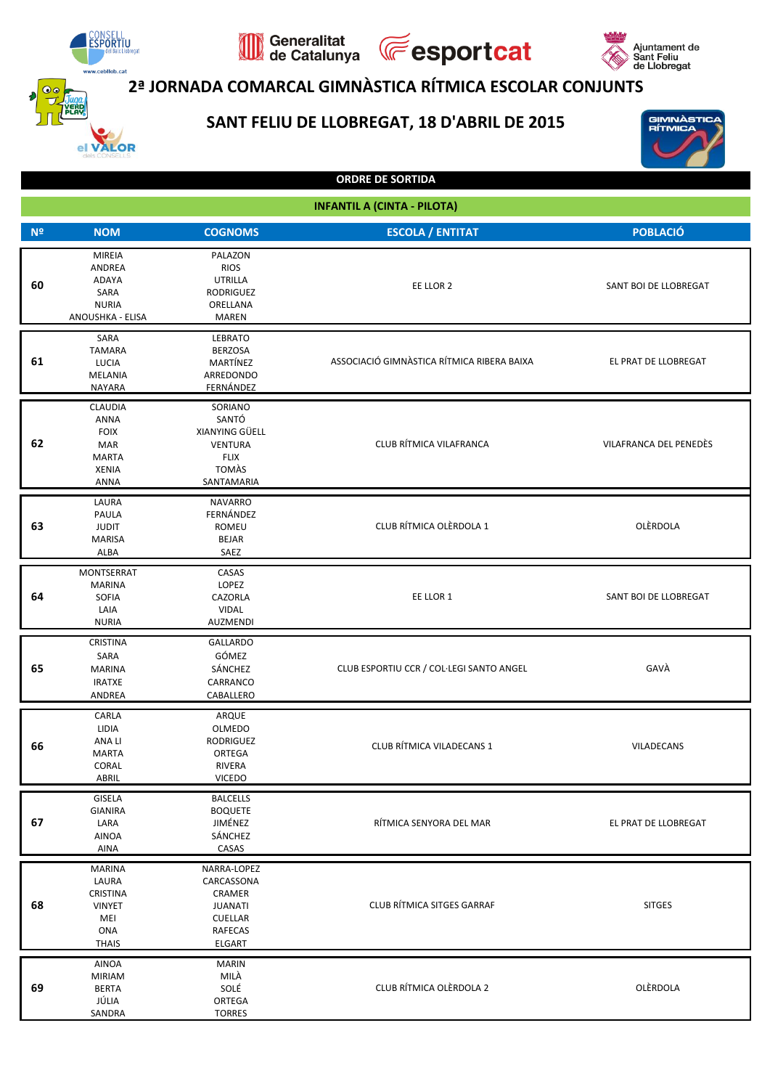

## **2ª JORNADA COMARCAL GIMNÀSTICA RÍTMICA ESCOLAR CONJUNTS**

**Fesportcat** 

## **SANT FELIU DE LLOBREGAT, 18 D'ABRIL DE 2015**

Generalitat<br>de Catalunya

 $\mathbb{Q}$ 



GIMNÀSTIC<br>RÍTMICA

| <b>INFANTIL A (CINTA - PILOTA)</b> |                                                                                      |                                                                                                     |                                            |                        |
|------------------------------------|--------------------------------------------------------------------------------------|-----------------------------------------------------------------------------------------------------|--------------------------------------------|------------------------|
| N <sup>2</sup>                     | <b>NOM</b>                                                                           | <b>COGNOMS</b>                                                                                      | <b>ESCOLA / ENTITAT</b>                    | POBLACIÓ               |
| 60                                 | <b>MIREIA</b><br>ANDREA<br>ADAYA<br>SARA<br><b>NURIA</b><br>ANOUSHKA - ELISA         | PALAZON<br><b>RIOS</b><br><b>UTRILLA</b><br><b>RODRIGUEZ</b><br>ORELLANA<br><b>MAREN</b>            | EE LLOR 2                                  | SANT BOI DE LLOBREGAT  |
| 61                                 | SARA<br><b>TAMARA</b><br>LUCIA<br>MELANIA<br>NAYARA                                  | <b>LEBRATO</b><br><b>BERZOSA</b><br>MARTÍNEZ<br>ARREDONDO<br>FERNÁNDEZ                              | ASSOCIACIÓ GIMNÀSTICA RÍTMICA RIBERA BAIXA | EL PRAT DE LLOBREGAT   |
| 62                                 | CLAUDIA<br><b>ANNA</b><br><b>FOIX</b><br>MAR<br><b>MARTA</b><br><b>XENIA</b><br>ANNA | SORIANO<br>SANTÓ<br>XIANYING GÜELL<br><b>VENTURA</b><br><b>FLIX</b><br><b>TOMAS</b><br>SANTAMARIA   | CLUB RÍTMICA VILAFRANCA                    | VILAFRANCA DEL PENEDÈS |
| 63                                 | LAURA<br>PAULA<br><b>JUDIT</b><br><b>MARISA</b><br>ALBA                              | <b>NAVARRO</b><br>FERNÁNDEZ<br>ROMEU<br><b>BEJAR</b><br>SAEZ                                        | CLUB RÍTMICA OLÈRDOLA 1                    | OLERDOLA               |
| 64                                 | MONTSERRAT<br><b>MARINA</b><br>SOFIA<br>LAIA<br><b>NURIA</b>                         | CASAS<br>LOPEZ<br>CAZORLA<br>VIDAL<br>AUZMENDI                                                      | EE LLOR 1                                  | SANT BOI DE LLOBREGAT  |
| 65                                 | <b>CRISTINA</b><br>SARA<br><b>MARINA</b><br><b>IRATXE</b><br>ANDREA                  | <b>GALLARDO</b><br>GÓMEZ<br>SÁNCHEZ<br>CARRANCO<br>CABALLERO                                        | CLUB ESPORTIU CCR / COL·LEGI SANTO ANGEL   | GAVÀ                   |
| 66                                 | CARLA<br>LIDIA<br>ANA LI<br><b>MARTA</b><br>CORAL<br>ABRIL                           | ARQUE<br>OLMEDO<br>RODRIGUEZ<br>ORTEGA<br>RIVERA<br><b>VICEDO</b>                                   | CLUB RÍTMICA VILADECANS 1                  | VILADECANS             |
| 67                                 | GISELA<br><b>GIANIRA</b><br>LARA<br>AINOA<br>AINA                                    | <b>BALCELLS</b><br><b>BOQUETE</b><br>JIMÉNEZ<br>SÁNCHEZ<br>CASAS                                    | RÍTMICA SENYORA DEL MAR                    | EL PRAT DE LLOBREGAT   |
| 68                                 | <b>MARINA</b><br>LAURA<br>CRISTINA<br><b>VINYET</b><br>MEI<br>ONA<br><b>THAIS</b>    | NARRA-LOPEZ<br>CARCASSONA<br>CRAMER<br><b>JUANATI</b><br><b>CUELLAR</b><br><b>RAFECAS</b><br>ELGART | CLUB RÍTMICA SITGES GARRAF                 | <b>SITGES</b>          |
| 69                                 | AINOA<br><b>MIRIAM</b><br><b>BERTA</b><br>JÚLIA<br>SANDRA                            | <b>MARIN</b><br>MILÀ<br>SOLÉ<br>ORTEGA<br><b>TORRES</b>                                             | CLUB RÍTMICA OLÈRDOLA 2                    | OLÈRDOLA               |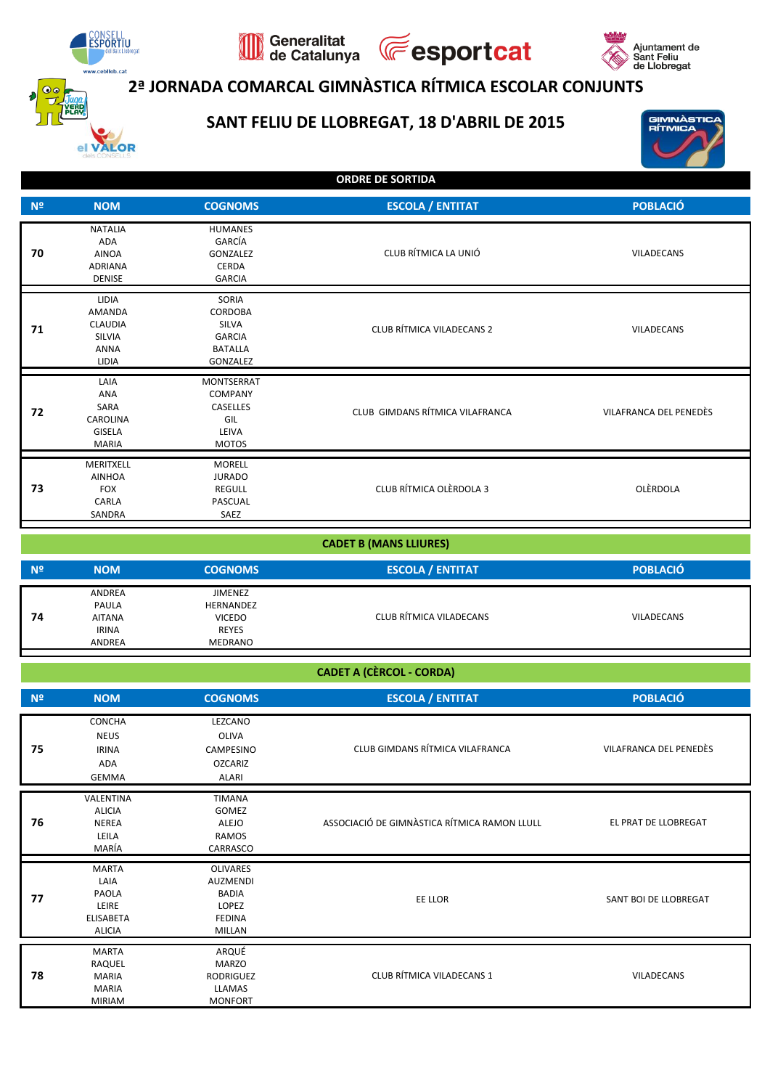

## **2ª JORNADA COMARCAL GIMNÀSTICA RÍTMICA ESCOLAR CONJUNTS**

**Fesportcat** 

### **SANT FELIU DE LLOBREGAT, 18 D'ABRIL DE 2015**

Generalitat<br>de Catalunya



Ajuntament de<br>Sant Feliu<br>de Llobregat

| N <sup>2</sup> | <b>NOM</b>                                                                               | <b>COGNOMS</b>                                                                  | <b>ESCOLA / ENTITAT</b>          | <b>POBLACIÓ</b>        |
|----------------|------------------------------------------------------------------------------------------|---------------------------------------------------------------------------------|----------------------------------|------------------------|
| 70             | <b>NATALIA</b><br>ADA<br><b>AINOA</b><br>ADRIANA<br><b>DENISE</b>                        | <b>HUMANES</b><br>GARCÍA<br>GONZALEZ<br><b>CERDA</b><br><b>GARCIA</b>           | CLUB RÍTMICA LA UNIÓ             | <b>VILADECANS</b>      |
| 71             | <b>LIDIA</b><br><b>AMANDA</b><br><b>CLAUDIA</b><br><b>SILVIA</b><br><b>ANNA</b><br>LIDIA | SORIA<br>CORDOBA<br><b>SILVA</b><br><b>GARCIA</b><br><b>BATALLA</b><br>GONZALEZ | <b>CLUB RÍTMICA VILADECANS 2</b> | <b>VILADECANS</b>      |
| 72             | LAIA<br><b>ANA</b><br>SARA<br><b>CAROLINA</b><br><b>GISELA</b><br><b>MARIA</b>           | <b>MONTSERRAT</b><br>COMPANY<br>CASELLES<br>GIL<br>LEIVA<br><b>MOTOS</b>        | CLUB GIMDANS RÍTMICA VILAFRANCA  | VILAFRANCA DEL PENEDÈS |
| 73             | MERITXELL<br><b>AINHOA</b><br><b>FOX</b><br>CARLA<br>SANDRA                              | <b>MORELL</b><br><b>JURADO</b><br>REGULL<br>PASCUAL<br>SAEZ                     | CLUB RÍTMICA OLÈRDOLA 3          | OLÈRDOLA               |

| <b>CADET B (MANS LLIURES)</b> |                                                            |                                                                         |                         |                   |
|-------------------------------|------------------------------------------------------------|-------------------------------------------------------------------------|-------------------------|-------------------|
| N <sup>2</sup>                | <b>NOM</b>                                                 | <b>COGNOMS</b>                                                          | <b>ESCOLA / ENTITAT</b> | <b>POBLACIÓ</b>   |
| 74                            | ANDREA<br>PAULA<br><b>AITANA</b><br><b>IRINA</b><br>ANDREA | JIMENEZ<br>HERNANDEZ<br><b>VICEDO</b><br><b>REYES</b><br><b>MEDRANO</b> | CLUB RÍTMICA VILADECANS | <b>VILADECANS</b> |

| <b>CADET A (CÈRCOL - CORDA)</b> |  |
|---------------------------------|--|
|                                 |  |

| N <sup>2</sup> | <b>NOM</b>                                                                         | <b>COGNOMS</b>                                                                         | <b>ESCOLA / ENTITAT</b>                      | <b>POBLACIÓ</b>        |
|----------------|------------------------------------------------------------------------------------|----------------------------------------------------------------------------------------|----------------------------------------------|------------------------|
| 75             | CONCHA<br><b>NEUS</b><br><b>IRINA</b><br>ADA<br><b>GEMMA</b>                       | LEZCANO<br>OLIVA<br><b>CAMPESINO</b><br><b>OZCARIZ</b><br>ALARI                        | CLUB GIMDANS RÍTMICA VILAFRANCA              | VILAFRANCA DEL PENEDÈS |
| 76             | VALENTINA<br><b>ALICIA</b><br><b>NEREA</b><br>LEILA<br>MARÍA                       | <b>TIMANA</b><br>GOMEZ<br>ALEJO<br>RAMOS<br>CARRASCO                                   | ASSOCIACIÓ DE GIMNÀSTICA RÍTMICA RAMON LLULL | EL PRAT DE LLOBREGAT   |
| 77             | <b>MARTA</b><br>LAIA<br><b>PAOLA</b><br>LEIRE<br><b>ELISABETA</b><br><b>ALICIA</b> | <b>OLIVARES</b><br><b>AUZMENDI</b><br><b>BADIA</b><br>LOPEZ<br><b>FEDINA</b><br>MILLAN | EE LLOR                                      | SANT BOI DE LLOBREGAT  |
| 78             | <b>MARTA</b><br>RAQUEL<br><b>MARIA</b><br><b>MARIA</b><br><b>MIRIAM</b>            | ARQUÉ<br><b>MARZO</b><br><b>RODRIGUEZ</b><br>LLAMAS<br><b>MONFORT</b>                  | CLUB RÍTMICA VILADECANS 1                    | VILADECANS             |